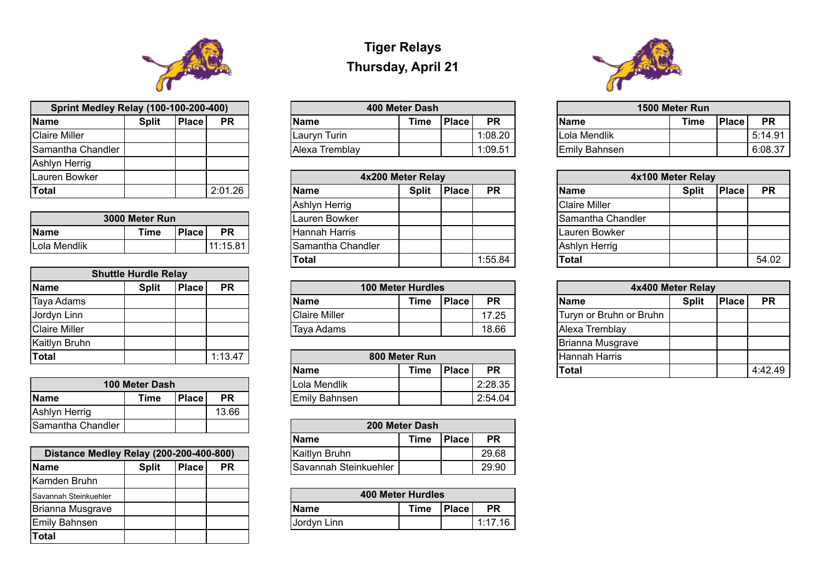## **Tiger Relays Thursday, April 21**

| <b>Sprint Medley Relay (100-100-200-400)</b> |              |              | 400 Meter Dash |                |      |              |           | 1500 Meter Run |                      |      |
|----------------------------------------------|--------------|--------------|----------------|----------------|------|--------------|-----------|----------------|----------------------|------|
|                                              | <b>Split</b> | <b>Place</b> | <b>PR</b>      | <b>Name</b>    | Time | <b>Place</b> | <b>PR</b> |                | <b>Name</b>          | Time |
| re Miller                                    |              |              |                | Lauryn Turin   |      |              | 1:08.20   |                | Lola Mendlik         |      |
| iantha Chandler                              |              |              |                | Alexa Tremblay |      |              | 1:09.51   |                | <b>Emily Bahnsen</b> |      |

| <b>Sprint Medley Relay (100-100-200-400)</b> |              |              |           | 400 Meter Dash |             |        |           | 1500 Meter Run |      |                     |           |
|----------------------------------------------|--------------|--------------|-----------|----------------|-------------|--------|-----------|----------------|------|---------------------|-----------|
| <b>Name</b>                                  | <b>Split</b> | <b>Place</b> | <b>PR</b> | <b>Name</b>    | <b>Time</b> | 'Place | <b>PR</b> | <b>Name</b>    | Time | 'Place <sub>1</sub> | <b>PR</b> |
| <b>Claire Miller</b>                         |              |              |           | Lauryn Turin   |             |        | 1:08.20   | Lola Mendlik   |      |                     | 5:14.91   |
| Samantha Chandler                            |              |              |           | Alexa Tremblay |             |        | 1:09.51   | Emily Bahnsen  |      |                     | 6:08.37   |

| <b>Name</b>          |
|----------------------|
| <b>Claire Miller</b> |
| Samantha Ch          |
| Lauren Bowk          |
| <b>Ashlyn Herrig</b> |
| Total                |
|                      |



| <b>Sprint Medley Relay (100-100-200-400)</b> |              |              |           |  |  |  |  |  |  |  |
|----------------------------------------------|--------------|--------------|-----------|--|--|--|--|--|--|--|
| <b>Name</b>                                  | <b>Split</b> | <b>Place</b> | <b>PR</b> |  |  |  |  |  |  |  |
| <b>Claire Miller</b>                         |              |              |           |  |  |  |  |  |  |  |
| Samantha Chandler                            |              |              |           |  |  |  |  |  |  |  |
| Ashlyn Herrig                                |              |              |           |  |  |  |  |  |  |  |
| Lauren Bowker                                |              |              |           |  |  |  |  |  |  |  |
| <b>Total</b>                                 |              |              | 2:01.26   |  |  |  |  |  |  |  |

| 3000 Meter Run                                           |  |  |          |  |  |  |  |  |  |  |
|----------------------------------------------------------|--|--|----------|--|--|--|--|--|--|--|
| <b>Place</b><br><b>IName</b><br><b>Time</b><br><b>PR</b> |  |  |          |  |  |  |  |  |  |  |
| <b>ILola Mendlik</b>                                     |  |  | 11:15.81 |  |  |  |  |  |  |  |

| Lauren Bowker |                |              |           |                                                   | 4x200 Meter Relay |             |                      | 4x100 Meter Relay |           |       |
|---------------|----------------|--------------|-----------|---------------------------------------------------|-------------------|-------------|----------------------|-------------------|-----------|-------|
| <b>Total</b>  |                |              | 2:01.26   | <b>PR</b><br><b>Split</b><br>Place<br><b>Name</b> |                   | <b>Name</b> | <b>Split</b>         | <b>Place</b>      | <b>PR</b> |       |
|               |                |              |           | Ashlyn Herrig                                     |                   |             | <b>Claire Miller</b> |                   |           |       |
|               | 3000 Meter Run |              |           | Lauren Bowker                                     |                   |             | Samantha Chandler    |                   |           |       |
| <b>Name</b>   | Time           | <b>Place</b> | <b>PR</b> | <b>Hannah Harris</b>                              |                   |             | Lauren Bowker        |                   |           |       |
| Lola Mendlik  |                |              | 11:15.81  | Samantha Chandler                                 |                   |             | Ashlyn Herrig        |                   |           |       |
|               |                |              |           | 'Total                                            |                   | 1:55.84     | 'Total               |                   |           | 54.02 |

| <b>Name</b>          | <b>Split</b> | <b>Place</b> | <b>PR</b> |  | <b>100 Meter Hurdles</b> |      |              |           |  | 4x400 Meter Relay       |              |  |
|----------------------|--------------|--------------|-----------|--|--------------------------|------|--------------|-----------|--|-------------------------|--------------|--|
| Taya Adams           |              |              |           |  | <b>Name</b>              | Time | <b>Place</b> | <b>PR</b> |  | <b>Name</b>             | <b>Split</b> |  |
| Jordyn Linn          |              |              |           |  | <b>IClaire Miller</b>    |      |              | 17.25     |  | Turyn or Bruhn or Bruhn |              |  |
| <b>Claire Miller</b> |              |              |           |  | Taya Adams               |      |              | 18.66     |  | Alexa Tremblay          |              |  |

|                      | <b>Shuttle Hurdle Relay</b> |              |           |                          |               |              |           |                     |
|----------------------|-----------------------------|--------------|-----------|--------------------------|---------------|--------------|-----------|---------------------|
| Name                 | <b>Split</b>                | <b>Place</b> | <b>PR</b> | <b>100 Meter Hurdles</b> | 4x            |              |           |                     |
| Taya Adams           |                             |              |           | <b>Name</b>              | <b>Time</b>   | <b>Place</b> | <b>PR</b> | <b>Name</b>         |
| Jordyn Linn          |                             |              |           | <b>Claire Miller</b>     |               |              | 17.25     | Turyn or Bruhn or E |
| <b>Claire Miller</b> |                             |              |           | Taya Adams               |               |              | 18.66     | Alexa Tremblay      |
| Kaitlyn Bruhn        |                             |              |           |                          |               |              |           | Brianna Musgrave    |
| <b>Total</b>         |                             |              | 1:13.47   |                          | 800 Meter Run |              |           | Hannah Harris       |

| <b>Name</b>          | <b>Split</b> | <b>Place</b> | <b>PR</b> | 100 Meter Hurdles<br>4x400 Meter Relay |               |              |           |  |                         |              |              |           |
|----------------------|--------------|--------------|-----------|----------------------------------------|---------------|--------------|-----------|--|-------------------------|--------------|--------------|-----------|
| Taya Adams           |              |              |           | <b>Name</b>                            | <b>Time</b>   | <b>Place</b> | <b>PR</b> |  | <b>Name</b>             | <b>Split</b> | <b>Place</b> | <b>PR</b> |
| Jordyn Linn          |              |              |           | <b>Claire Miller</b>                   |               |              | 17.25     |  | Turyn or Bruhn or Bruhn |              |              |           |
| <b>Claire Miller</b> |              |              |           | Taya Adams                             |               |              | 18.66     |  | Alexa Tremblay          |              |              |           |
| Kaitlyn Bruhn        |              |              |           |                                        |               |              |           |  | Brianna Musgrave        |              |              |           |
| <b>Total</b>         |              |              | 1:13.47   |                                        | 800 Meter Run |              |           |  | Hannah Harris           |              |              |           |
|                      |              |              |           | <b>Name</b>                            | <b>Time</b>   | <b>Place</b> | <b>PR</b> |  | 'Total                  |              |              | 4:42.49   |
|                      | .            |              |           | .                                      |               |              | - - - - - |  |                         |              |              |           |

| 4x100 Meter Relay |              |       |           |  |  |  |  |  |  |  |
|-------------------|--------------|-------|-----------|--|--|--|--|--|--|--|
|                   | <b>Split</b> | Place | <b>PR</b> |  |  |  |  |  |  |  |
|                   |              |       |           |  |  |  |  |  |  |  |
| andler            |              |       |           |  |  |  |  |  |  |  |
|                   |              |       |           |  |  |  |  |  |  |  |
|                   |              |       |           |  |  |  |  |  |  |  |
|                   |              |       | 54.02     |  |  |  |  |  |  |  |

| <b>Total</b> |                |       | 1:13.47   |               | 800 Meter Run |         |           | Hannah Harris |  |
|--------------|----------------|-------|-----------|---------------|---------------|---------|-----------|---------------|--|
|              |                |       |           | <b>Name</b>   | <b>Time</b>   | 'Place, | <b>PR</b> | <b>Total</b>  |  |
|              | 100 Meter Dash |       |           | Lola Mendlik  |               |         | 2:28.35   |               |  |
| <b>Name</b>  | Time           | Place | <b>PR</b> | Emily Bahnsen |               |         | 2:54.04   |               |  |

|                   | 100 Meter Dash |              | Lola Mendlik |                      |                |
|-------------------|----------------|--------------|--------------|----------------------|----------------|
| <b>Name</b>       | Time           | <b>Place</b> | <b>PR</b>    | <b>Emily Bahnsen</b> |                |
| Ashlyn Herrig     |                |              | 13.66        |                      |                |
| Samantha Chandler |                |              |              |                      | 200 Meter Dash |

| Samantha Chandler'                      |              |              |           |             |                       | 200 Meter Dash |              |           |
|-----------------------------------------|--------------|--------------|-----------|-------------|-----------------------|----------------|--------------|-----------|
|                                         |              |              |           | <b>Name</b> |                       | <b>Time</b>    | <b>Place</b> | <b>PR</b> |
| Distance Medley Relay (200-200-400-800) |              |              |           |             | <b>Kaitlyn Bruhn</b>  |                |              | 29.68     |
| <b>Name</b>                             | <b>Split</b> | <b>Place</b> | <b>PR</b> |             | Savannah Steinkuehler |                |              | 29.90     |

| Distance Medley Relay (200-200-400-800) |              |           | Kaitlyn Bruhn                |                          |       | 29.68     |
|-----------------------------------------|--------------|-----------|------------------------------|--------------------------|-------|-----------|
| <b>Name</b>                             | <b>Split</b> | <b>PR</b> | <b>Savannah Steinkuehler</b> |                          |       | 29.90     |
| Kamden Bruhn                            |              |           |                              |                          |       |           |
| Savannah Steinkuehler                   |              |           |                              | <b>400 Meter Hurdles</b> |       |           |
| Brianna Musgrave                        |              |           | <b>Name</b>                  | Time                     | Place | <b>PR</b> |
| <b>Emily Bahnsen</b>                    |              |           | Jordyn Linn                  |                          |       | 1:17.1    |
| <b>Total</b>                            |              |           |                              |                          |       |           |

| Savannah Steinkuehler |  |  | 400 Meter Hurdles |      |              |         |
|-----------------------|--|--|-------------------|------|--------------|---------|
| Brianna Musgrave      |  |  | <b>Name</b>       | Time | <b>Place</b> | PR      |
| <b>Emily Bahnsen</b>  |  |  | IJordyn Linn      |      |              | 1:17.16 |